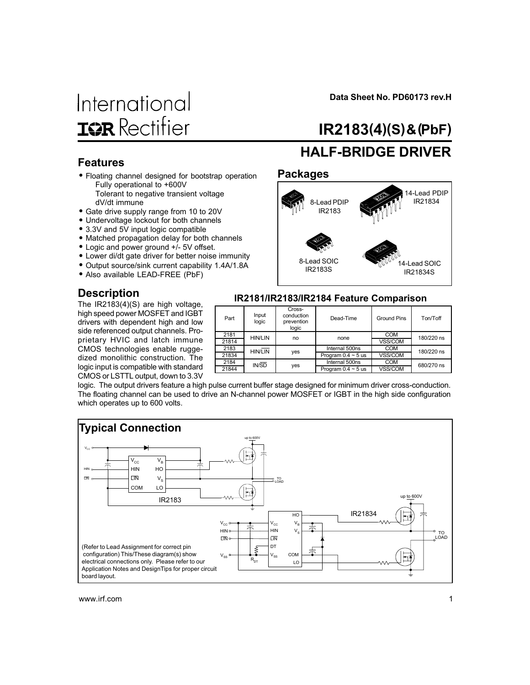# International **IGR** Rectifier

Data Sheet No. PD60173 rev.H

# IR2183(4)(S) & (PbF)

#### Features

- Floating channel designed for bootstrap operation Fully operational to +600V
	- Tolerant to negative transient voltage dV/dt immune
- Gate drive supply range from 10 to 20V
- Undervoltage lockout for both channels • 3.3V and 5V input logic compatible
- 
- Matched propagation delay for both channels • Logic and power ground +/- 5V offset.
- Lower di/dt gate driver for better noise immunity
- Output source/sink current capability 1.4A/1.8A
- Also available LEAD-FREE (PbF)

### **Description**

The IR2183(4)(S) are high voltage, high speed power MOSFET and IGBT drivers with dependent high and low side referenced output channels. Proprietary HVIC and latch immune CMOS technologies enable ruggedized monolithic construction. The logic input is compatible with standard CMOS or LSTTL output, down to 3.3V

# HALF-BRIDGE DRIVER

### Packages



#### IR2181/IR2183/IR2184 Feature Comparison

| Part  | Input<br>logic | Cross-<br>conduction<br>prevention<br>logic | Dead-Time               | <b>Ground Pins</b> | Ton/Toff   |  |
|-------|----------------|---------------------------------------------|-------------------------|--------------------|------------|--|
| 2181  | <b>HIN/LIN</b> | no                                          | none                    | <b>COM</b>         | 180/220 ns |  |
| 21814 |                |                                             |                         | <b>VSS/COM</b>     |            |  |
| 2183  | <b>HIN/LIN</b> |                                             | Internal 500ns          | <b>COM</b>         | 180/220 ns |  |
| 21834 |                | yes                                         | Program $0.4 \sim 5$ us | VSS/COM            |            |  |
| 2184  | IN/SD          | yes                                         | Internal 500ns          | <b>COM</b>         | 680/270 ns |  |
| 21844 |                |                                             | Program $0.4 \sim 5$ us | VSS/COM            |            |  |

logic. The output drivers feature a high pulse current buffer stage designed for minimum driver cross-conduction. The floating channel can be used to drive an N-channel power MOSFET or IGBT in the high side configuration which operates up to 600 volts.

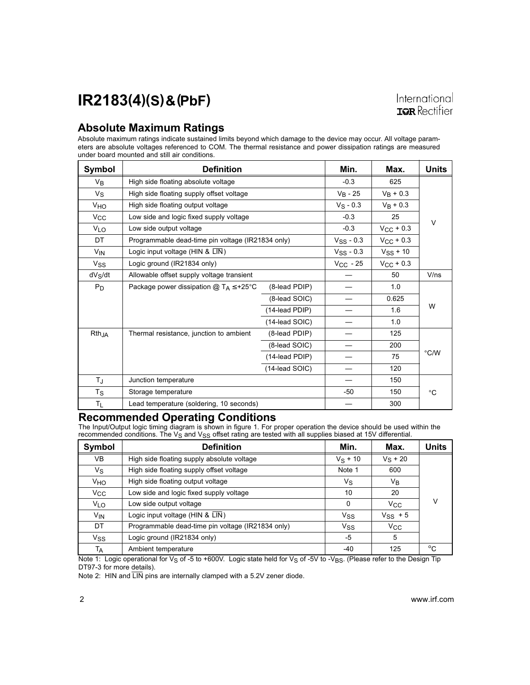#### Absolute Maximum Ratings

Absolute maximum ratings indicate sustained limits beyond which damage to the device may occur. All voltage parameters are absolute voltages referenced to COM. The thermal resistance and power dissipation ratings are measured under board mounted and still air conditions.

| Symbol                | <b>Definition</b>                                 | Min.           | Max.           | <b>Units</b>   |        |
|-----------------------|---------------------------------------------------|----------------|----------------|----------------|--------|
| V <sub>B</sub>        | High side floating absolute voltage               | $-0.3$         | 625            |                |        |
| $V_{S}$               | High side floating supply offset voltage          |                | $V_B - 25$     | $V_B + 0.3$    |        |
| <b>V<sub>HO</sub></b> | High side floating output voltage                 |                | $V_S - 0.3$    | $V_B + 0.3$    |        |
| $V_{\rm CC}$          | Low side and logic fixed supply voltage           |                | $-0.3$         | 25             | $\vee$ |
| V <sub>LO</sub>       | Low side output voltage                           |                | $-0.3$         | $V_{CC}$ + 0.3 |        |
| DT                    | Programmable dead-time pin voltage (IR21834 only) |                | $V_{SS}$ - 0.3 | $V_{CC}$ + 0.3 |        |
| V <sub>IN</sub>       | Logic input voltage (HIN & LIN)                   |                | $V_{SS}$ - 0.3 | $V_{SS}$ + 10  |        |
| Vss                   | Logic ground (IR21834 only)                       |                | $V_{CC}$ - 25  | $V_{CC}$ + 0.3 |        |
| $dV_S/dt$             | Allowable offset supply voltage transient         |                |                | 50             | V/ns   |
| $P_D$                 | Package power dissipation $@T_A \leq +25°C$       | (8-lead PDIP)  |                | 1.0            |        |
|                       |                                                   | (8-lead SOIC)  |                | 0.625          |        |
|                       |                                                   | (14-lead PDIP) |                | 1.6            | W      |
|                       |                                                   | (14-lead SOIC) |                | 1.0            |        |
| Rth <sub>JA</sub>     | Thermal resistance, junction to ambient           | (8-lead PDIP)  |                | 125            |        |
|                       |                                                   | (8-lead SOIC)  |                | 200            |        |
|                       |                                                   | (14-lead PDIP) |                | 75             | °C/W   |
|                       |                                                   | (14-lead SOIC) |                | 120            |        |
| $T_{\rm J}$           | Junction temperature                              |                |                | 150            |        |
| Ts                    | Storage temperature                               |                | -50            | 150            | °C     |
| TL.                   | Lead temperature (soldering, 10 seconds)          |                |                | 300            |        |

#### Recommended Operating Conditions

The Input/Output logic timing diagram is shown in figure 1. For proper operation the device should be used within the recommended conditions. The V<sub>S</sub> and V<sub>SS</sub> offset rating are tested with all supplies biased at 15V differential.

| Symbol          | <b>Definition</b>                                 | Min.                  | Max.         | <b>Units</b> |
|-----------------|---------------------------------------------------|-----------------------|--------------|--------------|
| VB              | High side floating supply absolute voltage        | $V_S + 10$            | $V_S + 20$   |              |
| Vs              | High side floating supply offset voltage          | Note 1                | 600          |              |
| VHO             | High side floating output voltage                 | Vs                    | Vв           |              |
| Vcc             | Low side and logic fixed supply voltage           | 10                    | 20           |              |
| VLO             | Low side output voltage                           | $\mathbf{0}$          | $V_{\rm CC}$ | V            |
| V <sub>IN</sub> | Logic input voltage (HIN & LIN)                   | <b>V<sub>SS</sub></b> | $V_{SS}$ + 5 |              |
| DT              | Programmable dead-time pin voltage (IR21834 only) | <b>V<sub>SS</sub></b> | $V_{\rm CC}$ |              |
| Vss             | Logic ground (IR21834 only)                       | -5                    | 5            |              |
| TA              | Ambient temperature                               | -40                   | 125          | $^{\circ}$ C |

Note 1: Logic operational for V<sub>S</sub> of -5 to +600V. Logic state held for V<sub>S</sub> of -5V to -V<sub>BS</sub>. (Please refer to the Design Tip DT97-3 for more details).

Note 2: HIN and  $\overline{\text{LIN}}$  pins are internally clamped with a 5.2V zener diode.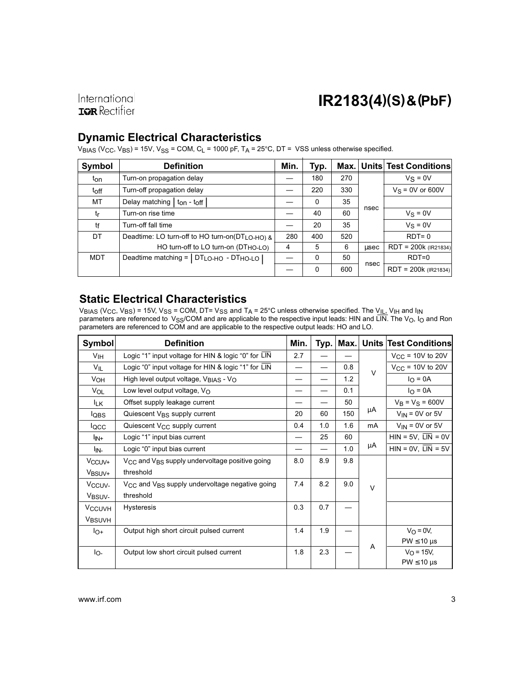International **IQR** Rectifier

### IR2183(4)(S) & (PbF)

#### Dynamic Electrical Characteristics

VBIAS (Vcc, VBS) = 15V, V<sub>SS</sub> = COM, C<sub>L</sub> = 1000 pF, T<sub>A</sub> = 25°C, DT = VSS unless otherwise specified.

| Symbol     | <b>Definition</b>                               |     | Typ.         | Max. I |      | Units Test Conditions  |
|------------|-------------------------------------------------|-----|--------------|--------|------|------------------------|
| ton        | Turn-on propagation delay                       |     | 180          | 270    |      | $Vs = 0V$              |
| toff       | Turn-off propagation delay                      |     | 220          | 330    |      | $V_S = 0V$ or 600V     |
| МT         | Delay matching   ton - toff                     |     | $\mathbf{0}$ | 35     |      |                        |
| tr         | Turn-on rise time                               |     | 40           | 60     | nsec | $V_S = 0V$             |
| tf         | Turn-off fall time                              |     | 20           | 35     |      | $V_S = 0V$             |
| DT         | Deadtime: LO turn-off to HO turn-on(DTLO-HO) &  | 280 | 400          | 520    |      | $RDT=0$                |
|            | HO turn-off to LO turn-on (DT <sub>HO-LO)</sub> | 4   | 5            | 6      | usec | $RDT = 200k (IR21834)$ |
| <b>MDT</b> | Deadtime matching =   DTLO-HO - DTHO-LO         |     | $\Omega$     | 50     |      | $RDT=0$                |
|            |                                                 |     | $\Omega$     | 600    | nsec | $RDT = 200k (IR21834)$ |

#### Static Electrical Characteristics

 $\rm{V_{BIAS}}$  (V $\rm{C_C}$ , V $\rm{BS}$  = 15V, V $\rm{SS}$  = COM, DT= V $\rm{SS}$  and T $\rm{A}$  = 25°C unless otherwise specified. The V $\rm{_{IL},}$  V $\rm{_{IH}}$  and I $\rm{_{IN}}$ parameters are referenced to V<sub>SS</sub>/COM and are applicable to the respective input leads: HIN and LIN. The V<sub>O</sub>, I<sub>O</sub> and Ron parameters are referenced to COM and are applicable to the respective output leads: HO and LO.

| Symbol                   | <b>Definition</b>                                                      | Min. |     | Typ.   Max. |        | <b>Units Test Conditions</b>       |
|--------------------------|------------------------------------------------------------------------|------|-----|-------------|--------|------------------------------------|
| V <sub>IH</sub>          | Logic "1" input voltage for HIN & logic "0" for LIN                    | 2.7  |     |             |        | $V_{CC}$ = 10V to 20V              |
| $V_{IL}$                 | Logic "0" input voltage for HIN & logic "1" for LIN                    |      |     | 0.8         | $\vee$ | $V_{CC}$ = 10V to 20V              |
| V <sub>OH</sub>          | High level output voltage, VBIAS - VO                                  |      |     | 1.2         |        | $I_{\Omega} = 0A$                  |
| VOL                      | Low level output voltage, $V_{\Omega}$                                 |      |     | 0.1         |        | $I_{\Omega} = 0A$                  |
| <sup>I</sup> LK          | Offset supply leakage current                                          |      |     | 50          |        | $V_B = V_S = 600V$                 |
| <b>l</b> QBS             | Quiescent V <sub>BS</sub> supply current                               | 20   | 60  | 150         | μA     | $V_{IN}$ = 0V or 5V                |
| locc                     | Quiescent $V_{CC}$ supply current                                      | 0.4  | 1.0 | 1.6         | mA     | $V_{IN}$ = 0V or 5V                |
| l <sub>IN+</sub>         | Logic "1" input bias current                                           |      | 25  | 60          |        | $HIN = 5V$ , $\overline{LIN} = 0V$ |
| l <sub>IN-</sub>         | Logic "0" input bias current                                           |      |     | 1.0         | μA     | $HIN = 0V$ , $\overline{LIN} = 5V$ |
| V <sub>CCUV+</sub>       | V <sub>CC</sub> and V <sub>BS</sub> supply undervoltage positive going | 8.0  | 8.9 | 9.8         |        |                                    |
| V <sub>BSUV+</sub>       | threshold                                                              |      |     |             |        |                                    |
| V <sub>CCUV</sub>        | V <sub>CC</sub> and V <sub>BS</sub> supply undervoltage negative going | 7.4  | 8.2 | 9.0         | $\vee$ |                                    |
| V <sub>BSUV-</sub>       | threshold                                                              |      |     |             |        |                                    |
| <b>V<sub>CCUVH</sub></b> | <b>Hysteresis</b>                                                      | 0.3  | 0.7 |             |        |                                    |
| <b>VBSUVH</b>            |                                                                        |      |     |             |        |                                    |
| $I_{O+}$                 | Output high short circuit pulsed current                               | 1.4  | 1.9 |             |        | $V_O = 0V$                         |
|                          |                                                                        |      |     |             | A      | $PW \leq 10 \mu s$                 |
| lo-                      | Output low short circuit pulsed current                                | 1.8  | 2.3 |             |        | $V_{O} = 15V,$                     |
|                          |                                                                        |      |     |             |        | $PW \leq 10 \text{ }\mu\text{s}$   |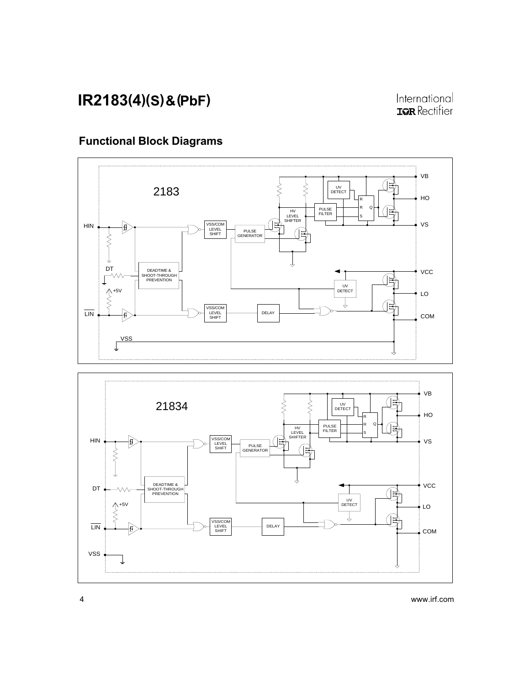### Functional Block Diagrams



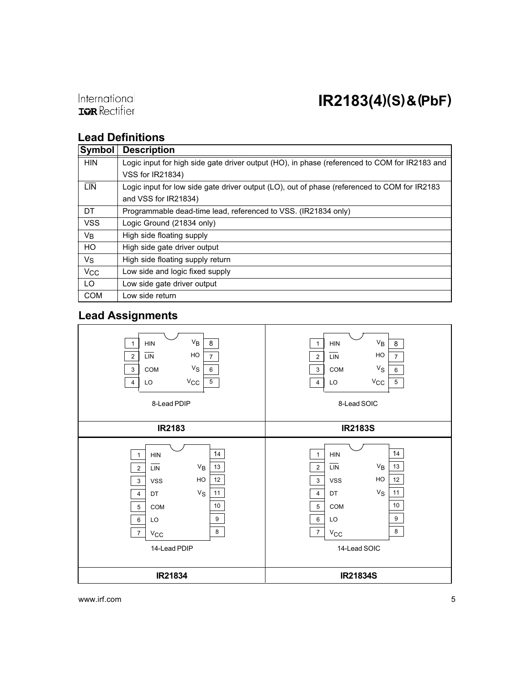International **IQR** Rectifier

### Lead Definitions

| Symbol                | <b>Description</b>                                                                            |
|-----------------------|-----------------------------------------------------------------------------------------------|
| <b>HIN</b>            | Logic input for high side gate driver output (HO), in phase (referenced to COM for IR2183 and |
|                       | VSS for IR21834)                                                                              |
| <b>LIN</b>            | Logic input for low side gate driver output (LO), out of phase (referenced to COM for IR2183  |
|                       | and VSS for IR21834)                                                                          |
| DT                    | Programmable dead-time lead, referenced to VSS. (IR21834 only)                                |
| <b>VSS</b>            | Logic Ground (21834 only)                                                                     |
| VB                    | High side floating supply                                                                     |
| HO                    | High side gate driver output                                                                  |
| Vs                    | High side floating supply return                                                              |
| <b>V<sub>CC</sub></b> | Low side and logic fixed supply                                                               |
| LO                    | Low side gate driver output                                                                   |
| <b>COM</b>            | Low side return                                                                               |

#### Lead Assignments

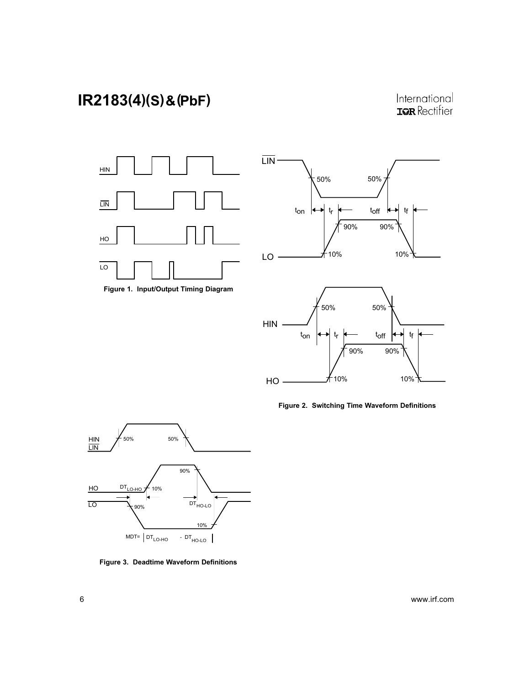International **IOR** Rectifier



Figure 1. Input/Output Timing Diagram





Figure 2. Switching Time Waveform Definitions



Figure 3. Deadtime Waveform Definitions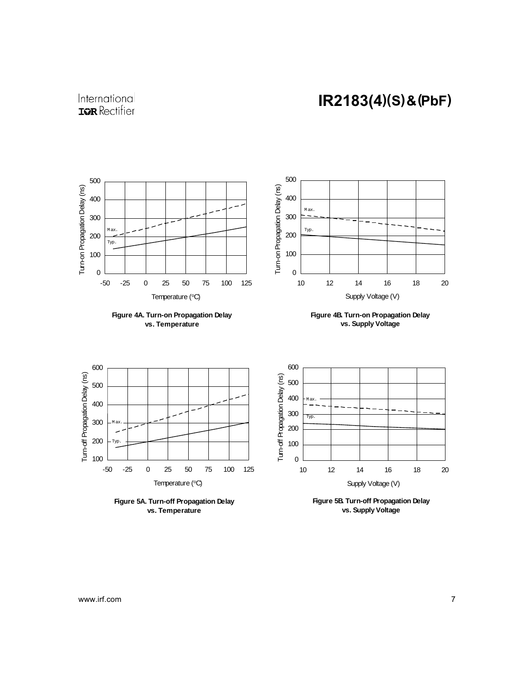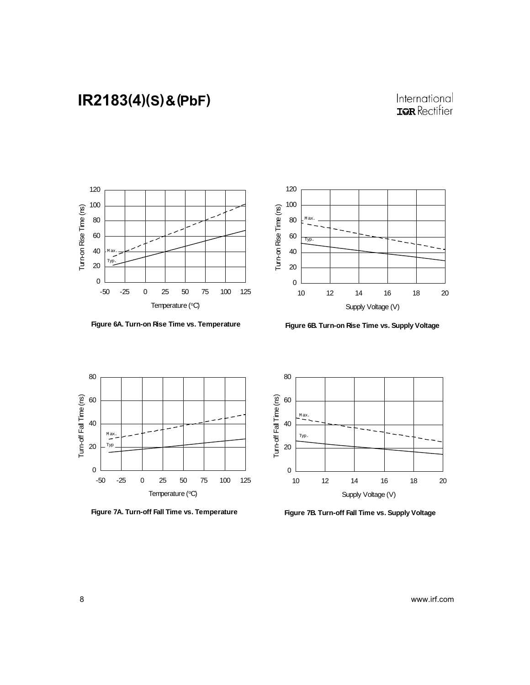

**Figure 6A. Turn-on Rise Time vs. Temperature**



**Figure 6B. Turn-on Rise Time vs. Supply Voltage**







**Figure 7B. Turn-off Fall Time vs. Supply Voltage**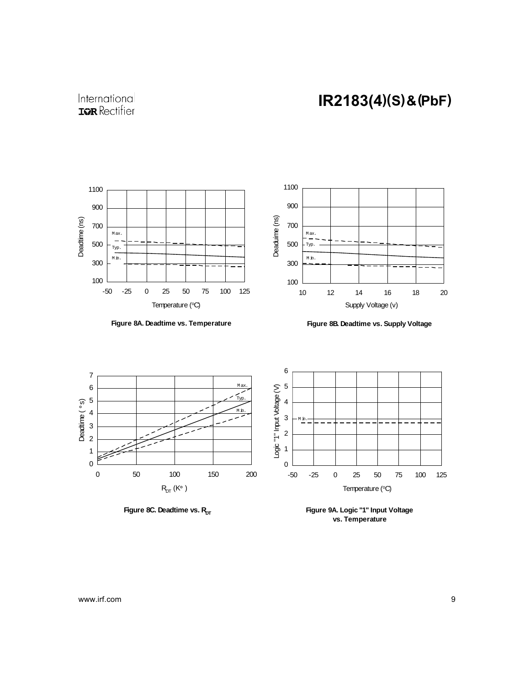



**Figure 8A. Deadtime vs. Temperature**





**Figure 8C. Deadtime vs. R<sub>DT</sub>** 

**Figure 9A. Logic "1" Input Voltage vs. Temperature**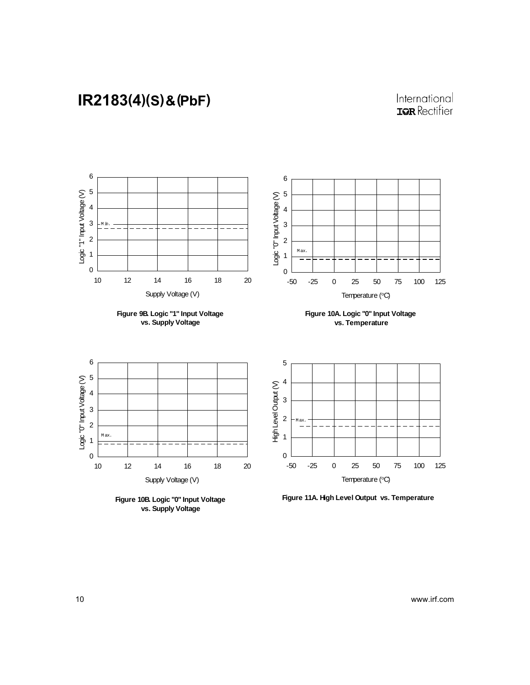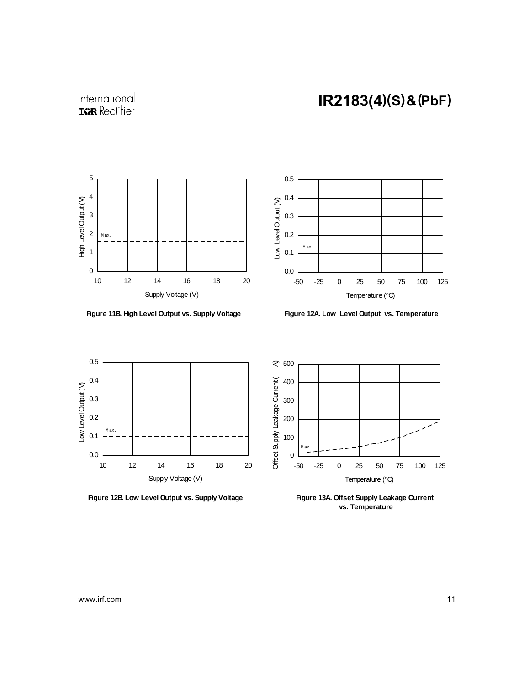

**Figure 11B. High Level Output vs. Supply Voltage**



**Figure 12A. Low Level Output vs. Temperature**



**Figure 12B. Low Level Output vs. Supply Voltage**



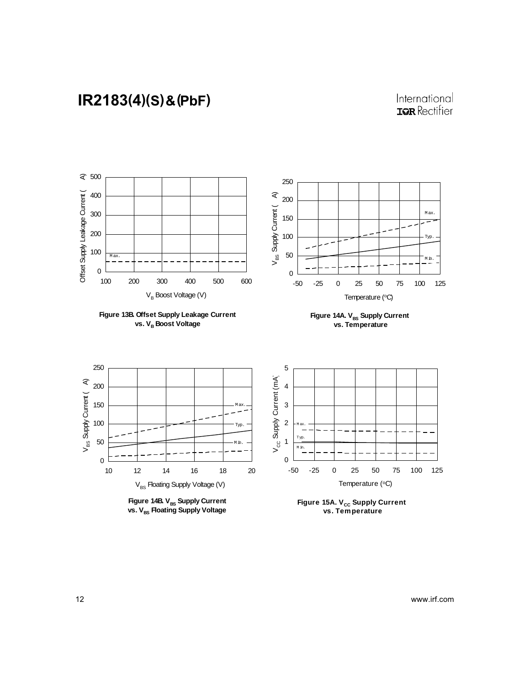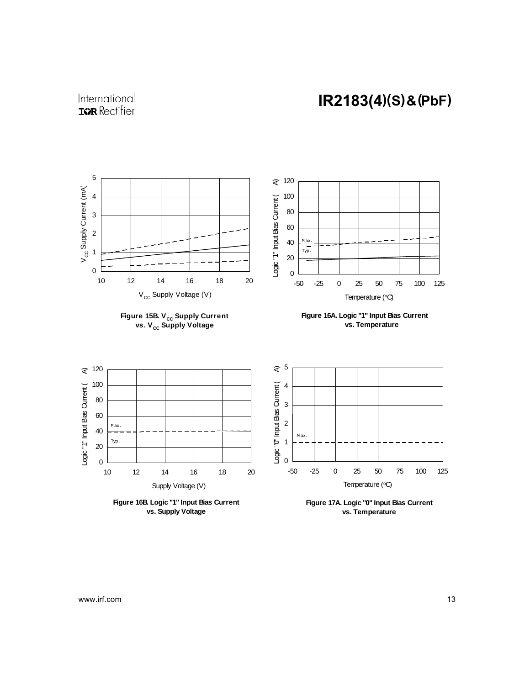

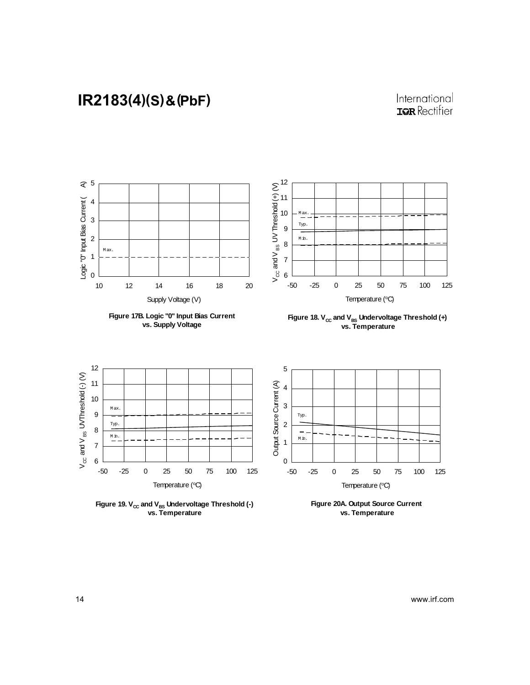#### International **IQR** Rectifier



**vs. Temperature**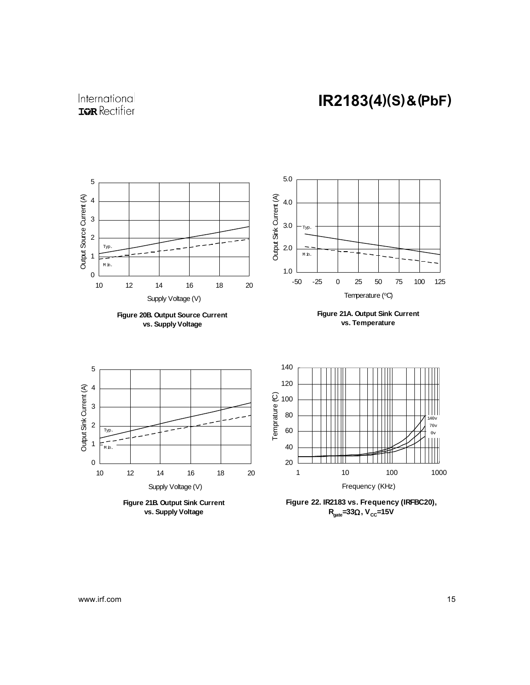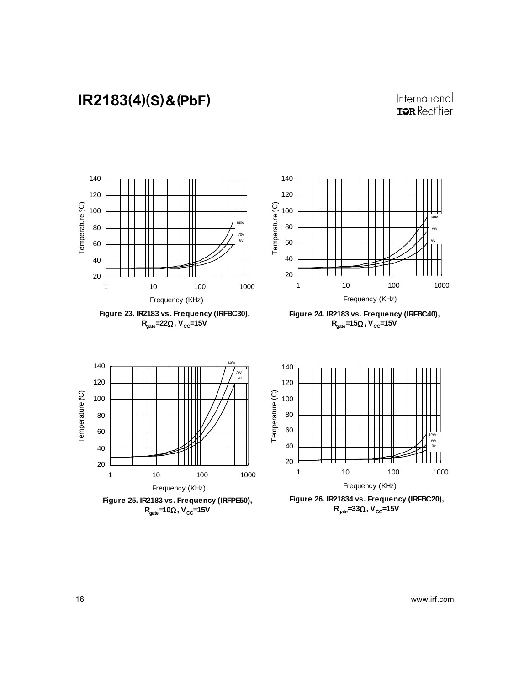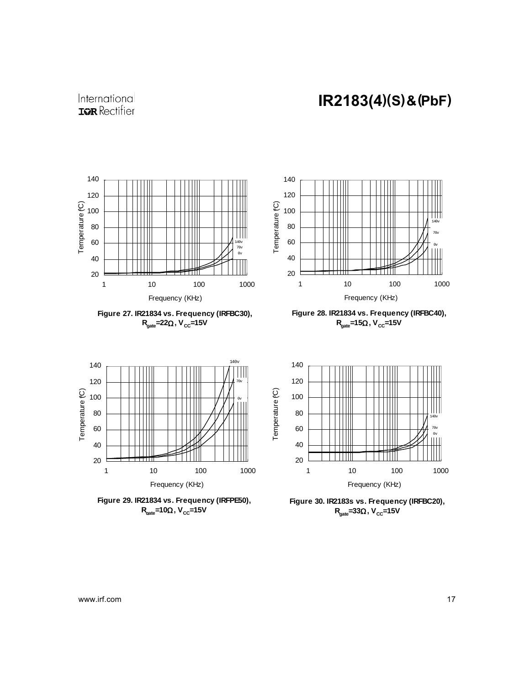

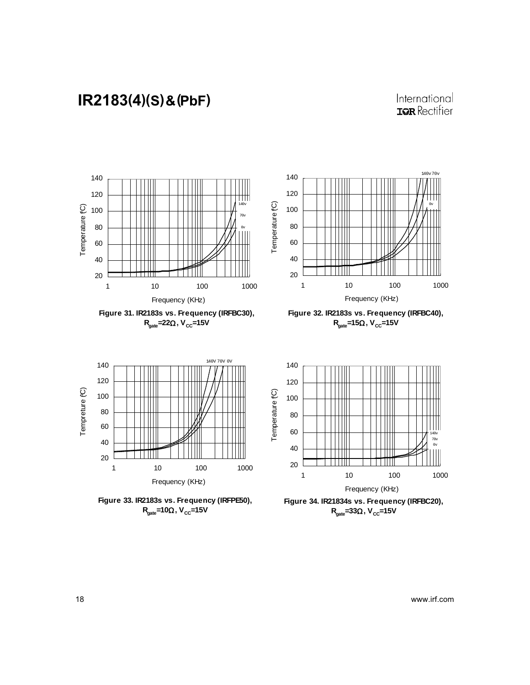#### International **IQR** Rectifier

0v









1 10 100 1000 Frequency (KHz)

140v 70v 0v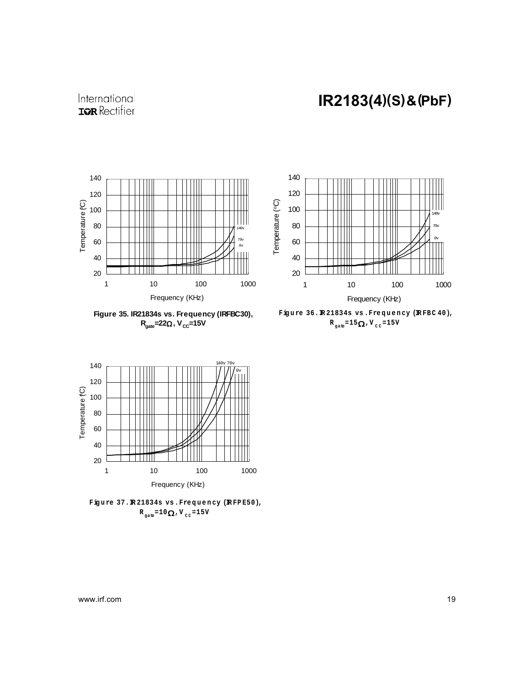

**Figure 35. IR21834s vs. Frequency (IRFBC30), R**<sub>aate</sub>=22Ω, V<sub>CC</sub>=15V



Figure 36.R21834s vs.Frequency (RFBC 40),  $R_{\text{gate}} = 15 \Omega$ , V<sub>cc</sub>=15V



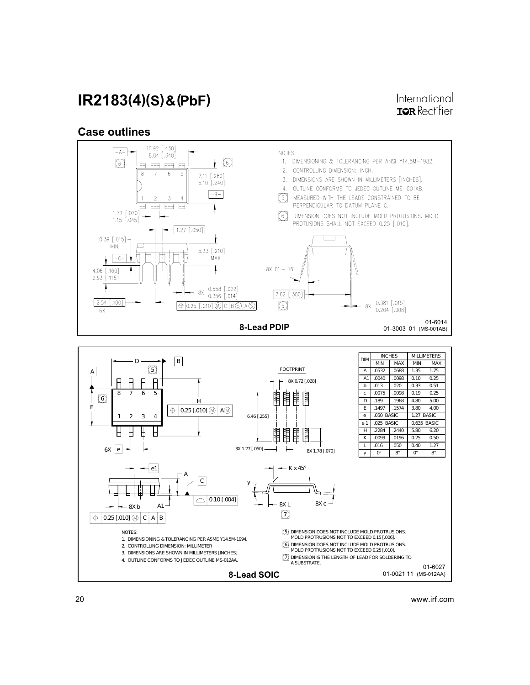International **IGR** Rectifier

#### Case outlines

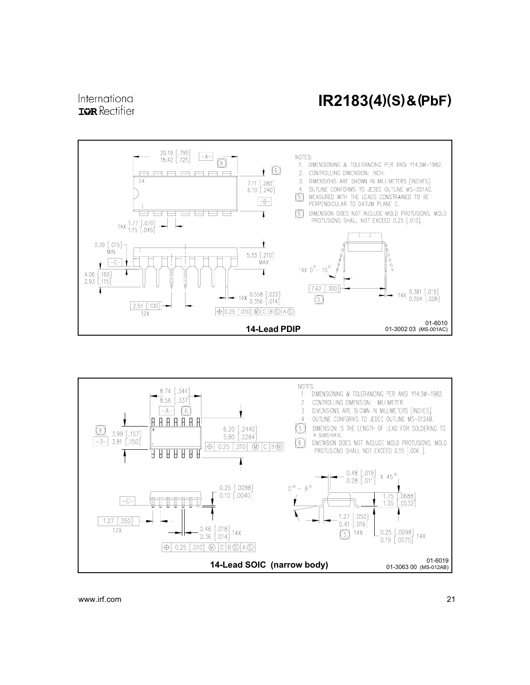#### International **IOR** Rectifier

### IR2183(4)(S) & (PbF)